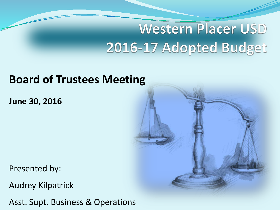# **Western Placer USD** 2016-17 Adopted Budget

### **Board of Trustees Meeting**

**June 30, 2016**

Presented by:

Audrey Kilpatrick

Asst. Supt. Business & Operations

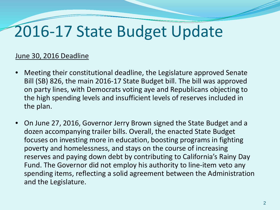# 2016-17 State Budget Update

#### June 30, 2016 Deadline

- Meeting their constitutional deadline, the Legislature approved Senate Bill (SB) 826, the main 2016-17 State Budget bill. The bill was approved on party lines, with Democrats voting aye and Republicans objecting to the high spending levels and insufficient levels of reserves included in the plan.
- On June 27, 2016, Governor Jerry Brown signed the State Budget and a dozen accompanying trailer bills. Overall, the enacted State Budget focuses on investing more in education, boosting programs in fighting poverty and homelessness, and stays on the course of increasing reserves and paying down debt by contributing to California's Rainy Day Fund. The Governor did not employ his authority to line-item veto any spending items, reflecting a solid agreement between the Administration and the Legislature.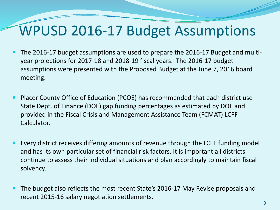## WPUSD 2016-17 Budget Assumptions

- The 2016-17 budget assumptions are used to prepare the 2016-17 Budget and multiyear projections for 2017-18 and 2018-19 fiscal years. The 2016-17 budget assumptions were presented with the Proposed Budget at the June 7, 2016 board meeting.
- Placer County Office of Education (PCOE) has recommended that each district use State Dept. of Finance (DOF) gap funding percentages as estimated by DOF and provided in the Fiscal Crisis and Management Assistance Team (FCMAT) LCFF Calculator.
- Every district receives differing amounts of revenue through the LCFF funding model and has its own particular set of financial risk factors. It is important all districts continue to assess their individual situations and plan accordingly to maintain fiscal solvency.
- The budget also reflects the most recent State's 2016-17 May Revise proposals and recent 2015-16 salary negotiation settlements.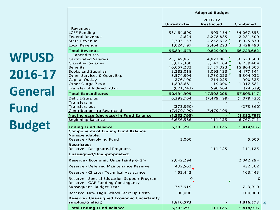**WPUSD 2016-17 General Fund Budget**

|                                                                                                              | <b>Adopted Budget</b>           |                              |                         |  |  |
|--------------------------------------------------------------------------------------------------------------|---------------------------------|------------------------------|-------------------------|--|--|
|                                                                                                              | <b>Unrestricted</b>             | 2016-17<br><b>Restricted</b> | Combined                |  |  |
| Revenues<br><b>LCFF Funding</b>                                                                              | 53,164,699                      | 903,154                      | 54,067,853              |  |  |
| <b>Federal Revenue</b>                                                                                       | 2,624                           | 2,278,885                    | 2,281,509               |  |  |
| <b>State Revenue</b>                                                                                         | 2,703,153                       | 4,242,677                    | 6,945,830               |  |  |
| Local Revenue                                                                                                | 1,024,197                       | 2,404,293                    | 3,428,490               |  |  |
| <b>Total Revenue</b>                                                                                         | 56,894,673                      | 9,829,009                    | 66,723,682              |  |  |
| Expenditures                                                                                                 |                                 |                              |                         |  |  |
| <b>Certificated Salaries</b><br><b>Classified Salaries</b>                                                   | 25,749,867                      | 4,873,801                    | 30,623,668<br>8,759,404 |  |  |
| <b>Benefits</b>                                                                                              | 5,617,300<br>10,667,282         | 3, 142, 104<br>5,137,323     | 15,804,605              |  |  |
| <b>Books and Supplies</b>                                                                                    | 3,382,018                       | 1,095,123                    | 4,477,141               |  |  |
| Other Services & Oper. Exp                                                                                   | 3,574,904                       | 1,730,028                    | 5,304,932               |  |  |
| Capital Outlay                                                                                               | 276,100                         | 714,225                      | 990,325                 |  |  |
| Other Outgo 7xxx                                                                                             | 1,898,681                       | 19,000                       | 1,917,681               |  |  |
| Transfer of Indirect 73xx                                                                                    | (671, 243)                      | 596,604                      | (74, 639)               |  |  |
| <b>Total Expenditures</b>                                                                                    | 50,494,909                      | 17,308,208                   | 67,803,117              |  |  |
| Deficit/Surplus                                                                                              | 6,399,764                       | (7, 479, 199)                | (1,079,435)             |  |  |
| Transfers In                                                                                                 |                                 |                              |                         |  |  |
| Transfers out<br><b>Contributions to Restricted</b>                                                          | (273, 360)<br>(7, 479, 199)     | 7,479,199                    | (273, 360)              |  |  |
| Net increase (decrease) in Fund Balance                                                                      | (1, 352, 795)                   |                              | (1, 352, 795)           |  |  |
| <b>Beginning Balance</b>                                                                                     | 6,656,586                       | 111,125                      | 6,767,711               |  |  |
| <b>Ending Fund Balance</b>                                                                                   | 5,303,791                       | 111,125                      | 5,414,916               |  |  |
| <b>Components of Ending Fund Balance</b>                                                                     |                                 |                              |                         |  |  |
| Nonspendable:<br>Reserve - Revolving Fund                                                                    | 5,000                           |                              | 5,000                   |  |  |
| <b>Restricted:</b><br>Reserve - Designated Programs                                                          |                                 | 111,125                      | 111,125                 |  |  |
| Unassigned/Unappropriated:                                                                                   |                                 |                              |                         |  |  |
| Reserve - Economic Uncertainty @ 3%                                                                          | 2,042,294                       |                              | 2,042,294               |  |  |
| Reserve - Deferred Maintenance Reserve                                                                       | 432,562                         |                              | 432,562                 |  |  |
| Reserve - Charter Technical Assistance                                                                       | 163,443                         |                              | 163,443                 |  |  |
| Reserve - Special Education Support Program<br>Reserve - GAP Funding Contingency -<br>Subsequent Budget Year | $\frac{0}{\sqrt{2}}$<br>743,919 |                              | $\mathbf 0$<br>743,919  |  |  |
| Reserve- New High School Start-Up Costs                                                                      | 100,000                         |                              | 100,000                 |  |  |
| <b>Reserve - Unassigned Economic Uncertainty</b>                                                             |                                 |                              |                         |  |  |
| surplus/(deficit)                                                                                            | <u>1,816,573</u>                |                              | <u>1,816,573</u>        |  |  |
| <b>Total Ending Fund Balance</b>                                                                             | 5,303,791                       | 111,125                      | 5,414,916               |  |  |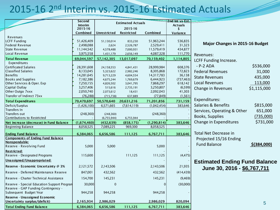### 2015-16 2nd Interim vs. 2015-16 Estimated Actuals

|                                             | Second                    | <b>Estimated Actuals</b> |                   | 2nd Int vs Est. |                      |                                        |              |
|---------------------------------------------|---------------------------|--------------------------|-------------------|-----------------|----------------------|----------------------------------------|--------------|
|                                             | <b>Interim</b><br>2015-16 |                          | 2015-16           |                 | <b>Actuals</b><br>\$ |                                        |              |
|                                             | Combined                  | <b>Unrestricted</b>      | <b>Restricted</b> | Combined        | Variance             |                                        |              |
| Revenues                                    |                           |                          |                   |                 |                      |                                        |              |
| <b>LCFF Funding</b>                         | 51,426,409                | 51,130,014               | 833,230           | 51,963,244      | 536,835              |                                        |              |
| <b>Federal Revenue</b>                      | 2,498,088                 | 2,624                    | 2,526,787         | 2,529,411       | 31,323               | <b>Major Changes in 2015-16 Budget</b> |              |
| <b>State Revenue</b>                        | 11,144,542                | 4,578,488                | 7,000,931         | 11,579,419      | 434,877              |                                        |              |
| Local Revenue                               | 3,975,558                 | 1,431,179                | 2,656,149         | 4,087,328       | 111,770              | Revenues:                              |              |
| <b>Total Revenue</b>                        | 69,044,597                | 57,142,305               | 13,017,097        | 70,159,402      | 1,114,805            |                                        |              |
| Expenditures                                |                           |                          |                   |                 |                      | LCFF Funding Increase.                 |              |
| Certificated Salaries                       | 28,391,608                | 24,158,553               | 4,841,431         | 28,999,984      | 608,376              | $- P - 2 ADA$                          | \$536,000    |
| <b>Classified Salaries</b>                  | 8,133,045                 | 5,323,622                | 2,982,246         | 8,305,868       | 172,823              | <b>Federal Revenues</b>                | 31,000       |
| <b>Benefits</b>                             | 14,281,645                | 9,713,229                | 4,604,554         | 14,317,783      | 36,138               | <b>State Revenues</b>                  | 435,000      |
| <b>Books and Supplies</b>                   | 7,182,386                 | 4,675,244                | 1,769,679         | 6,444,923       | (737, 463)           |                                        |              |
| Other Services & Oper. Exp                  | 7,250,155                 | 4,826,502                | 3,041,795         | 7,868,297       | 618,142              | <b>Local Revenues</b>                  | 113,000      |
| Capital Outlay                              | 3,257,406                 | 515,616                  | 2,735,191         | 3,250,807       | (6, 599)             | Change in Revenues                     | \$1,115,000  |
| Other Outgo 7xxx                            | 2,050,740                 | 2,073,612                | 18,431            | 2,092,043       | 41,303               |                                        |              |
| Transfer of Indirect 73xx                   | (76, 288)                 | (715, 738)               | 637,889           | (77, 849)       | (1, 561)             | Expenditures:                          |              |
| <b>Total Expenditures</b>                   | 70,470,697                | 50,570,640               | 20,631,216        | 71,201,856      | 731,159              |                                        |              |
| Deficit/Surplus                             | (1,426,100)               | 6,571,665                | (7,614,119)       | (1,042,454)     | 383,646              | Salaries & Benefits                    | \$815,000    |
| Transfers In                                |                           |                          |                   |                 |                      | Services, Operating & Other            | 651,000      |
| Transfers out                               | (248,360)                 | (248, 360)               |                   | (248, 360)      |                      | Books, Supplies                        | (735,000)    |
| Contributions to Restricted                 |                           | (6,755,944)              | 6,755,944         |                 |                      |                                        | \$731,000    |
| Net increase (decrease) in Fund Balance     | (1,674,460)               | (432, 639)               | (858, 175)        | (1, 290, 814)   | 383,646              | Change in Expenditures                 |              |
| <b>Beginning Balance</b>                    | 8,058,525                 | 7,089,225                | 969,300           | 8,058,525       |                      |                                        |              |
| <b>Ending Fund Balance</b>                  | 6,384,065                 | 6,656,586                | 111,125           | 6,767,711       | 383,646              | Total Net Decrease in                  |              |
| <b>Components of Ending Fund Balance</b>    |                           |                          |                   |                 |                      | Projected 15/16 Ending                 |              |
| Nonspendable:                               |                           |                          |                   |                 |                      | <b>Fund Balance</b>                    | \$ (384,000) |
| Reserve - Revolving Fund                    | 5,000                     | 5,000                    |                   | 5,000           |                      |                                        |              |
| <b>Restricted:</b>                          |                           |                          |                   |                 |                      |                                        |              |
| Reserve - Designated Programs               | 115,600                   |                          | 111,125           | 111,125         | (4, 475)             |                                        |              |
| Unassigned/Unappropriated:                  |                           |                          |                   |                 |                      | <b>Estimated Ending Fund Balance</b>   |              |
| Reserve - Economic Uncertainty @ 3%         | 2,121,572                 | 2,143,506                |                   | 2,143,506       | 21,935               | June 30, 2016 - \$6,767,711            |              |
| Reserve - Deferred Maintenance Reserve      | 847,001                   | 432,562                  |                   | 432,562         | (414, 439)           |                                        |              |
| Reserve - Charter Technical Assistance      | 154,700                   | 145,231                  |                   | 145,231         | (9,469)              |                                        |              |
| Reserve - Special Education Support Progran | 30,000                    | $\Omega$                 |                   |                 | (30,000)             |                                        |              |
| Reserve - GAP Funding Contingency -         |                           |                          |                   |                 |                      |                                        |              |
| Subsequent Budget Year                      | 944,258                   | 944,258                  |                   | 944,258         |                      |                                        |              |
| Reserve - Unassigned Economic               |                           |                          |                   |                 |                      |                                        |              |
| Uncertainty surplus/(deficit)               | 2,165,934                 | 2,986,029                |                   | 2,986,029       | 820,094              |                                        | 5            |
| <b>Total Ending Fund Balance</b>            | 6,384,065                 | 6,656,586                | 111,125           | 6,767,711       | 383,646              |                                        |              |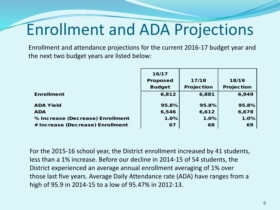# Enrollment and ADA Projections

Enrollment and attendance projections for the current 2016-17 budget year and the next two budget years are listed below:

|                                  | 16/17           |                   |                   |
|----------------------------------|-----------------|-------------------|-------------------|
|                                  | <b>Proposed</b> | 17/18             | 18/19             |
|                                  | <b>Budget</b>   | <b>Projection</b> | <b>Projection</b> |
| <b>Enrollment</b>                | 6,812           | 6,881             | 6,949             |
|                                  |                 |                   |                   |
| <b>ADA Yield</b>                 | 95.8%           | 95.8%             | 95.8%             |
| <b>ADA</b>                       | 6,546           | 6,612             | 6,678             |
| % Increase (Decrease) Enrollment | 1.0%            | 1.0%              | 1.0%              |
| # Increase (Decrease) Enrollment | 67              | 68                | 69                |

For the 2015-16 school year, the District enrollment increased by 41 students, less than a 1% increase. Before our decline in 2014-15 of 54 students, the District experienced an average annual enrollment averaging of 1% over those last five years. Average Daily Attendance rate (ADA) have ranges from a high of 95.9 in 2014-15 to a low of 95.47% in 2012-13.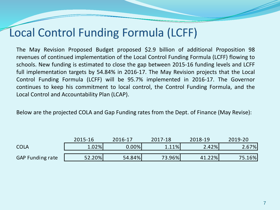### Local Control Funding Formula (LCFF)

The May Revision Proposed Budget proposed \$2.9 billion of additional Proposition 98 revenues of continued implementation of the Local Control Funding Formula (LCFF) flowing to schools. New funding is estimated to close the gap between 2015-16 funding levels and LCFF full implementation targets by 54.84% in 2016-17. The May Revision projects that the Local Control Funding Formula (LCFF) will be 95.7% implemented in 2016-17. The Governor continues to keep his commitment to local control, the Control Funding Formula, and the Local Control and Accountability Plan (LCAP).

Below are the projected COLA and Gap Funding rates from the Dept. of Finance (May Revise):

|                  | 2015-16 | 2016-17 | 2017-18 | 2018-19 | 2019-20 |
|------------------|---------|---------|---------|---------|---------|
| <b>COLA</b>      | 1.02%   | 0.00%   | 1.11%   | 2.42%   | 2.67%   |
| GAP Funding rate | 52.20%  | 54.84%  | 73.96%  | 41.22%  | 75.16%  |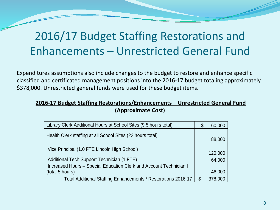### 2016/17 Budget Staffing Restorations and Enhancements – Unrestricted General Fund

Expenditures assumptions also include changes to the budget to restore and enhance specific classified and certificated management positions into the 2016-17 budget totaling approximately \$378,000. Unrestricted general funds were used for these budget items.

#### **2016-17 Budget Staffing Restorations/Enhancements – Unrestricted General Fund (Approximate Cost)**

| Library Clerk Additional Hours at School Sites (9.5 hours total)   | \$<br>60,000  |
|--------------------------------------------------------------------|---------------|
| Health Clerk staffing at all School Sites (22 hours total)         | 88,000        |
| Vice Principal (1.0 FTE Lincoln High School)                       | 120,000       |
| Additional Tech Support Technician (1 FTE)                         | 64,000        |
| Increased Hours - Special Education Clerk and Account Technician I |               |
| (total 5 hours)                                                    | 46,000        |
| Total Additional Staffing Enhancements / Restorations 2016-17      | \$<br>378,000 |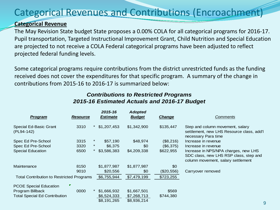### Categorical Revenues and Contributions (Encroachment)

#### **Categorical Revenue**

The May Revision State budget State proposes a 0.00% COLA for all categorical programs for 2016-17. Pupil transportation, Targeted Instructional Improvement Grant, Child Nutrition and Special Education are projected to not receive a COLA Federal categorical programs have been adjusted to reflect projected federal funding levels.

Some categorical programs require contributions from the district unrestricted funds as the funding received does not cover the expenditures for that specific program. A summary of the change in contributions from 2015-16 to 2016-17 is summarized below:

| Program                                          | <b>Resource</b> |          | 2015-16<br><b>Estimate</b> | <b>Adopted</b><br><b>Budget</b> | <b>Change</b> | <b>Comments</b>                                                                                                      |
|--------------------------------------------------|-----------------|----------|----------------------------|---------------------------------|---------------|----------------------------------------------------------------------------------------------------------------------|
| Special Ed-Basic Grant<br>(PL94-142)             | 3310            |          | \$1,207,453                | \$1,342,900                     | \$135,447     | Step and column movement, salary<br>settlement, new LHS Resource class, add'l<br>necessary Para time                 |
| Spec Ed Pre-School                               | 3315            | $^\star$ | \$57,190                   | \$48,974                        | (\$8,216)     | Increase in revenue                                                                                                  |
| Spec Ed Pre-School                               | 3320            | $\star$  | \$6,375                    | \$0                             | (\$6,375)     | Increase in revenue                                                                                                  |
| <b>Special Education</b>                         | 6500            |          | \$3,586,383                | \$4,209,338                     | \$622,955     | Increase in NPS/NPA charges, new LHS<br>SDC class, new LHS RSP class, step and<br>column movement, salary settlement |
| Maintenance                                      | 8150            |          | \$1,877,987                | \$1,877,987                     | \$0           |                                                                                                                      |
|                                                  | 9010            |          | \$20,556                   | \$0                             | (\$20,556)    | Carryover removed                                                                                                    |
| <b>Total Contribution to Restricted Programs</b> |                 |          | \$6,755,944                | \$7,479,199                     | \$723,255     |                                                                                                                      |
| <b>PCOE Special Education</b>                    | ▼               |          |                            |                                 |               |                                                                                                                      |
| Program Billback                                 | 0000            |          | \$1,666,932                | \$1,667,501                     | \$569         |                                                                                                                      |
| <b>Total Special Ed Contribution</b>             |                 |          | \$6,524,333                | \$7,268,713                     | \$744,380     |                                                                                                                      |
|                                                  |                 |          | \$8,191,265                | \$8,936,214                     |               |                                                                                                                      |

#### *Contributions to Restricted Programs 2015-16 Estimated Actuals and 2016-17 Budget*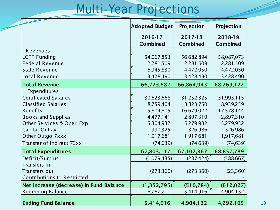## Multi-Year Projections

|                                         | Adopted Budget  | Projection      | Projection      |
|-----------------------------------------|-----------------|-----------------|-----------------|
|                                         | 2016-17         | 2017-18         | 2018-19         |
|                                         | <b>Combined</b> | <b>Combined</b> | <b>Combined</b> |
| Revenues                                |                 |                 |                 |
| <b>LCFF Funding</b>                     | 54,067,853      | 56,682,894      | 58,087,073      |
| <b>Federal Revenue</b>                  | 2,281,509       | 2,281,509       | 2,281,509       |
| <b>State Revenue</b>                    | 6,945,830       | 4,472,050       | 4,472,050       |
| Local Revenue                           | 3,428,490       | 3,428,490       | 3,428,490       |
| <b>Total Revenue</b>                    | 66,723,682      | 66,864,943      | 68,269,122      |
| Expenditures                            |                 |                 |                 |
| <b>Certificated Salaries</b>            | 30,623,668      | 31,252,325      | 31,993,115      |
| <b>Classified Salaries</b>              | 8,759,404       | 8,823,750       | 8,939,259       |
| <b>Benefits</b>                         | 15,804,605      | 16,679,022      | 17,578,144      |
| <b>Books and Supplies</b>               | 4,477,141       | 2,897,310       | 2,897,310       |
| Other Services & Oper. Exp              | 5,304,932       | 5,279,932       | 5,279,932       |
| Capital Outlay                          | 990,325         | 326,986         | 326,986         |
| Other Outgo 7xxx                        | 1,917,681       | 1,917,681       | 1,917,681       |
| Transfer of Indirect 73xx               | (74, 639)       | (74, 639)       | (74, 639)       |
| <b>Total Expenditures</b>               | 67,803,117      | 67,102,367      | 68,857,789      |
| Deficit/Surplus                         | (1,079,435)     | (237, 424)      | (588, 667)      |
| <b>Transfers In</b>                     |                 |                 |                 |
| <b>Transfers out</b>                    | (273, 360)      | (273, 360)      | (23,360)        |
| <b>Contributions to Restricted</b>      |                 |                 |                 |
| Net increase (decrease) in Fund Balance | (1, 352, 795)   | (510, 784)      | (612, 027)      |
| <b>Beginning Balance</b>                | 6,767,711       | 5,414,916       | 4,904,132       |
| <b>Ending Fund Balance</b>              | 5,414,916       | 4,904,132       | 4,292,105       |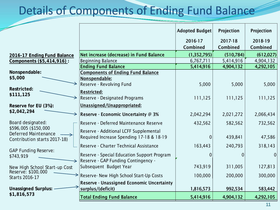### **Details of Components of Ending Fund Balance**

|                                                     |                                                  | <b>Adopted Budget</b> | Projection     | Projection  |
|-----------------------------------------------------|--------------------------------------------------|-----------------------|----------------|-------------|
|                                                     |                                                  | 2016-17               | 2017-18        | 2018-19     |
|                                                     |                                                  | Combined              | Combined       | Combined    |
| 2016-17 Ending Fund Balance                         | Net increase (decrease) in Fund Balance          | (1, 352, 795)         | (510, 784)     | (612, 027)  |
| Components (\$5,414,916):                           | <b>Beginning Balance</b>                         | 6,767,711             | 5,414,916      | 4,904,132   |
|                                                     | <b>Ending Fund Balance</b>                       | 5,414,916             | 4,904,132      | 4,292,105   |
| Nonspendable:                                       | <b>Components of Ending Fund Balance</b>         |                       |                |             |
| \$5,000                                             | Nonspendable:                                    |                       |                |             |
|                                                     | Reserve - Revolving Fund                         | 5,000                 | 5,000          | 5,000       |
| <b>Restricted:</b><br>\$111,125                     | <b>Restricted:</b>                               |                       |                |             |
|                                                     | <b>Reserve - Designated Programs</b>             | 111,125               | 111,125        | 111,125     |
| Reserve for EU (3%):                                | Unassigned/Unappropriated:                       |                       |                |             |
| \$2,042,294                                         | <b>Reserve - Economic Uncertainty @ 3%</b>       | 2,042,294             | 2,021,272      | 2,066,434   |
| Board designated:                                   | Reserve - Deferred Maintenance Reserve           | 432,562               | 582,562        | 732,562     |
| \$596,005 (\$150,000<br><b>Deferred Maintenance</b> | Reserve - Additional LCFF Supplemental           |                       |                |             |
| Contribution starts 2017-18)                        | Required Increase Spending 17-18 & 18-19         | $\mathbf 0$           | 439,841        | 47,586      |
| <b>GAP Funding Reserve:</b>                         | Reserve - Charter Technical Assistance           | 163,443               | 240,793        | 318,143     |
| \$743,919                                           | Reserve - Special Education Support Program      | 0                     | $\overline{0}$ | $\mathbf 0$ |
|                                                     | Reserve - GAP Funding Contingency -              |                       |                |             |
| New High School Start-up Cost                       | Subsequent Budget Year                           | 743,919               | 311,005        | 127,813     |
| Reserve: \$100,000                                  | Reserve- New High School Start-Up Costs          | 100,000               | 200,000        | 300,000     |
| Starts 2016-17                                      | <b>Reserve - Unassigned Economic Uncertainty</b> |                       |                |             |
| <b>Unassigned Surplus:</b>                          | surplus/(deficit)                                | 1,816,573             | 992,534        | 583,442     |
| \$1,816,573                                         |                                                  |                       |                |             |
|                                                     | <b>Total Ending Fund Balance</b>                 | 5,414,916             | 4,904,132      | 4,292,105   |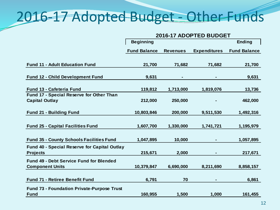## 2016-17 Adopted Budget - Other Funds

|                                                                          | 2016-17 ADOPTED BUDGET |                 |                     |                     |  |  |
|--------------------------------------------------------------------------|------------------------|-----------------|---------------------|---------------------|--|--|
|                                                                          | <b>Beginning</b>       |                 |                     | Ending              |  |  |
|                                                                          | <b>Fund Balance</b>    | <b>Revenues</b> | <b>Expenditures</b> | <b>Fund Balance</b> |  |  |
| <b>Fund 11 - Adult Education Fund</b>                                    | 21,700                 | 71,682          | 71,682              | 21,700              |  |  |
| <b>Fund 12 - Child Development Fund</b>                                  | 9,631                  |                 |                     | 9,631               |  |  |
| <b>Fund 13 - Cafeteria Fund</b>                                          | 119,812                | 1,713,000       | 1,819,076           | 13,736              |  |  |
| Fund 17 - Special Reserve for Other Than<br><b>Capital Outlay</b>        | 212,000                | 250,000         |                     | 462,000             |  |  |
| <b>Fund 21 - Building Fund</b>                                           | 10,803,846             | 200,000         | 9,511,530           | 1,492,316           |  |  |
| <b>Fund 25 - Capital Facilities Fund</b>                                 | 1,607,700              | 1,330,000       | 1,741,721           | 1,195,979           |  |  |
| <b>Fund 35 - County Schools Facilities Fund</b>                          | 1,047,895              | 10,000          |                     | 1,057,895           |  |  |
| <b>Fund 40 - Special Reserve for Capital Outlay</b><br><b>Projects</b>   | 215,671                | 2,000           |                     | 217,671             |  |  |
| <b>Fund 49 - Debt Service Fund for Blended</b><br><b>Component Units</b> | 10,379,847             | 6,690,000       | 8,211,690           | 8,858,157           |  |  |
|                                                                          |                        |                 |                     |                     |  |  |
| Fund 71 - Retiree Benefit Fund                                           | 6,791                  | 70              |                     | 6,861               |  |  |
| <b>Fund 73 - Foundation Private-Purpose Trust</b>                        |                        |                 |                     |                     |  |  |
| <b>Fund</b>                                                              | 160,955                | 1,500           | 1,000               | 161,455             |  |  |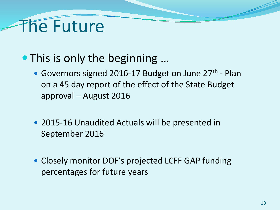# The Future

- This is only the beginning ...
	- Governors signed 2016-17 Budget on June 27<sup>th</sup> Plan on a 45 day report of the effect of the State Budget approval – August 2016
	- 2015-16 Unaudited Actuals will be presented in September 2016
	- Closely monitor DOF's projected LCFF GAP funding percentages for future years